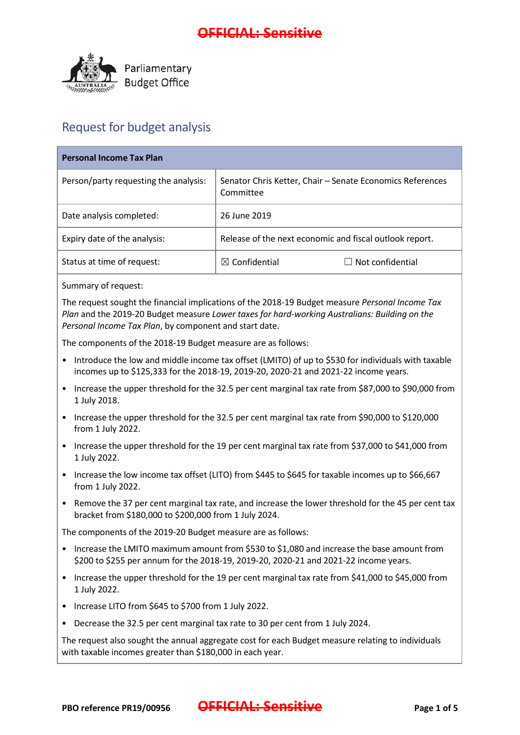

## Request for budget analysis

| <b>Personal Income Tax Plan</b>       |                                                                        |  |
|---------------------------------------|------------------------------------------------------------------------|--|
| Person/party requesting the analysis: | Senator Chris Ketter, Chair - Senate Economics References<br>Committee |  |
| Date analysis completed:              | 26 June 2019                                                           |  |
| Expiry date of the analysis:          | Release of the next economic and fiscal outlook report.                |  |
| Status at time of request:            | $\boxtimes$ Confidential<br>Not confidential                           |  |

Summary of request:

The request sought the financial implications of the 2018-19 Budget measure *Personal Income Tax Plan* and the 2019-20 Budget measure *Lower taxes for hard-working Australians: Building on the Personal Income Tax Plan*, by component and start date.

The components of the 2018-19 Budget measure are as follows:

- Introduce the low and middle income tax offset (LMITO) of up to \$530 for individuals with taxable incomes up to \$125,333 for the 2018-19, 2019-20, 2020-21 and 2021-22 income years.
- Increase the upper threshold for the 32.5 per cent marginal tax rate from \$87,000 to \$90,000 from 1 July 2018.
- Increase the upper threshold for the 32.5 per cent marginal tax rate from \$90,000 to \$120,000 from 1 July 2022.
- Increase the upper threshold for the 19 per cent marginal tax rate from \$37,000 to \$41,000 from 1 July 2022.
- Increase the low income tax offset (LITO) from \$445 to \$645 for taxable incomes up to \$66,667 from 1 July 2022.
- Remove the 37 per cent marginal tax rate, and increase the lower threshold for the 45 per cent tax bracket from \$180,000 to \$200,000 from 1 July 2024.

The components of the 2019-20 Budget measure are as follows:

- Increase the LMITO maximum amount from \$530 to \$1,080 and increase the base amount from \$200 to \$255 per annum for the 2018-19, 2019-20, 2020-21 and 2021-22 income years.
- Increase the upper threshold for the 19 per cent marginal tax rate from \$41,000 to \$45,000 from 1 July 2022.
- Increase LITO from \$645 to \$700 from 1 July 2022.
- Decrease the 32.5 per cent marginal tax rate to 30 per cent from 1 July 2024.

The request also sought the annual aggregate cost for each Budget measure relating to individuals with taxable incomes greater than \$180,000 in each year.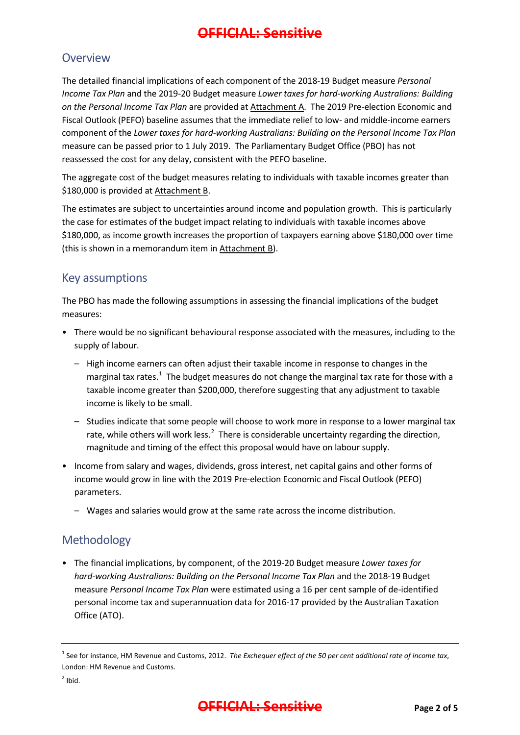#### **Overview**

The detailed financial implications of each component of the 2018-19 Budget measure *Personal Income Tax Plan* and the 2019-20 Budget measure *Lower taxes for hard-working Australians: Building on the Personal Income Tax Plan* are provided at Attachment A. The 2019 Pre-election Economic and Fiscal Outlook (PEFO) baseline assumes that the immediate relief to low- and middle-income earners component of the *Lower taxes for hard-working Australians: Building on the Personal Income Tax Plan* measure can be passed prior to 1 July 2019. The Parliamentary Budget Office (PBO) has not reassessed the cost for any delay, consistent with the PEFO baseline.

The aggregate cost of the budget measures relating to individuals with taxable incomes greater than \$180,000 is provided at Attachment B.

The estimates are subject to uncertainties around income and population growth. This is particularly the case for estimates of the budget impact relating to individuals with taxable incomes above \$180,000, as income growth increases the proportion of taxpayers earning above \$180,000 over time (this is shown in a memorandum item in Attachment B).

## Key assumptions

The PBO has made the following assumptions in assessing the financial implications of the budget measures:

- There would be no significant behavioural response associated with the measures, including to the supply of labour.
	- High income earners can often adjust their taxable income in response to changes in the marginal tax rates.<sup>[1](#page-1-0)</sup> The budget measures do not change the marginal tax rate for those with a taxable income greater than \$200,000, therefore suggesting that any adjustment to taxable income is likely to be small.
	- Studies indicate that some people will choose to work more in response to a lower marginal tax rate, while others will work less. $^2$  $^2$  There is considerable uncertainty regarding the direction, magnitude and timing of the effect this proposal would have on labour supply.
- Income from salary and wages, dividends, gross interest, net capital gains and other forms of income would grow in line with the 2019 Pre-election Economic and Fiscal Outlook (PEFO) parameters.
	- Wages and salaries would grow at the same rate across the income distribution.

## Methodology

• The financial implications, by component, of the 2019-20 Budget measure *Lower taxes for hard-working Australians: Building on the Personal Income Tax Plan* and the 2018-19 Budget measure *Personal Income Tax Plan* were estimated using a 16 per cent sample of de-identified personal income tax and superannuation data for 2016-17 provided by the Australian Taxation Office (ATO).

<span id="page-1-0"></span><sup>1</sup> See for instance, HM Revenue and Customs, 2012. *The Exchequer effect of the 50 per cent additional rate of income tax*, London: HM Revenue and Customs.

<span id="page-1-1"></span> $2$  Ibid.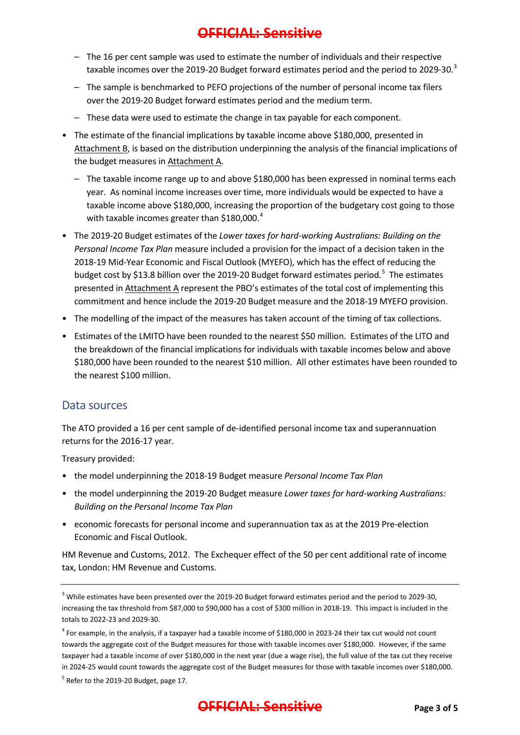- The 16 per cent sample was used to estimate the number of individuals and their respective taxable incomes over the 2019-20 Budget forward estimates period and the period to 2029-[3](#page-2-0)0.<sup>3</sup>
- The sample is benchmarked to PEFO projections of the number of personal income tax filers over the 2019-20 Budget forward estimates period and the medium term.
- These data were used to estimate the change in tax payable for each component.
- The estimate of the financial implications by taxable income above \$180,000, presented in Attachment B, is based on the distribution underpinning the analysis of the financial implications of the budget measures in Attachment A.
	- The taxable income range up to and above \$180,000 has been expressed in nominal terms each year. As nominal income increases over time, more individuals would be expected to have a taxable income above \$180,000, increasing the proportion of the budgetary cost going to those with taxable incomes greater than \$180,000.<sup>[4](#page-2-1)</sup>
- The 2019-20 Budget estimates of the *Lower taxes for hard-working Australians: Building on the Personal Income Tax Plan* measure included a provision for the impact of a decision taken in the 2018-19 Mid-Year Economic and Fiscal Outlook (MYEFO), which has the effect of reducing the budget cost by \$13.8 billion over the 2019-20 Budget forward estimates period.<sup>[5](#page-2-2)</sup> The estimates presented in Attachment A represent the PBO's estimates of the total cost of implementing this commitment and hence include the 2019-20 Budget measure and the 2018-19 MYEFO provision.
- The modelling of the impact of the measures has taken account of the timing of tax collections.
- Estimates of the LMITO have been rounded to the nearest \$50 million. Estimates of the LITO and the breakdown of the financial implications for individuals with taxable incomes below and above \$180,000 have been rounded to the nearest \$10 million. All other estimates have been rounded to the nearest \$100 million.

#### Data sources

The ATO provided a 16 per cent sample of de-identified personal income tax and superannuation returns for the 2016-17 year.

Treasury provided:

- the model underpinning the 2018-19 Budget measure *Personal Income Tax Plan*
- the model underpinning the 2019-20 Budget measure *Lower taxes for hard-working Australians: Building on the Personal Income Tax Plan*
- economic forecasts for personal income and superannuation tax as at the 2019 Pre-election Economic and Fiscal Outlook.

HM Revenue and Customs, 2012. The Exchequer effect of the 50 per cent additional rate of income tax, London: HM Revenue and Customs.

<span id="page-2-2"></span> $<sup>5</sup>$  Refer to the 2019-20 Budget, page 17.</sup>



<span id="page-2-0"></span><sup>&</sup>lt;sup>3</sup> While estimates have been presented over the 2019-20 Budget forward estimates period and the period to 2029-30, increasing the tax threshold from \$87,000 to \$90,000 has a cost of \$300 million in 2018-19. This impact is included in the totals to 2022-23 and 2029-30.

<span id="page-2-1"></span> $4$  For example, in the analysis, if a taxpayer had a taxable income of \$180,000 in 2023-24 their tax cut would not count towards the aggregate cost of the Budget measures for those with taxable incomes over \$180,000. However, if the same taxpayer had a taxable income of over \$180,000 in the next year (due a wage rise), the full value of the tax cut they receive in 2024-25 would count towards the aggregate cost of the Budget measures for those with taxable incomes over \$180,000.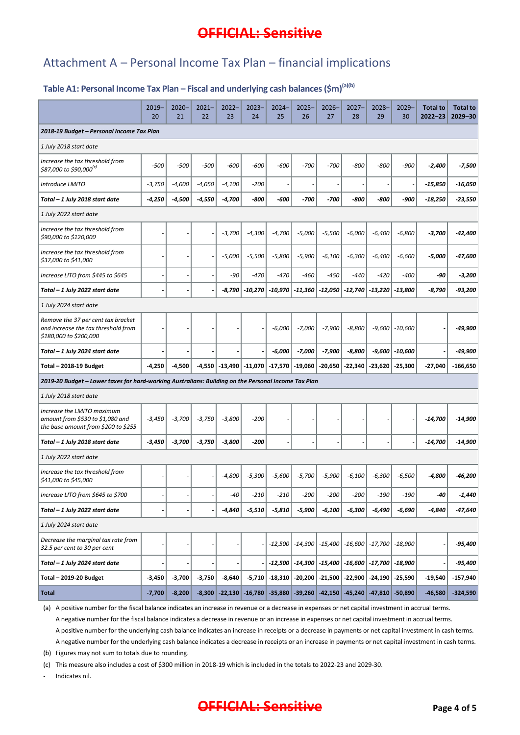## Attachment A – Personal Income Tax Plan – financial implications

## Table A1: Personal Income Tax Plan – Fiscal and underlying cash balances (\$m)<sup>(a)(b)</sup>

|                                                                                                       | $2019-$<br>20 | $2020 -$<br>21 | $2021 -$<br>22 | $2022 -$<br>23 | $2023 -$<br>24                                   | $2024 -$<br>25 | $2025 -$<br>26                                              | $2026 -$<br>27                          | $2027 -$<br>28 | $2028 -$<br>29      | $2029 -$<br>30 | <b>Total to</b><br>$2022 - 23$ | <b>Total to</b><br>$2029 - 30$ |
|-------------------------------------------------------------------------------------------------------|---------------|----------------|----------------|----------------|--------------------------------------------------|----------------|-------------------------------------------------------------|-----------------------------------------|----------------|---------------------|----------------|--------------------------------|--------------------------------|
| 2018-19 Budget - Personal Income Tax Plan                                                             |               |                |                |                |                                                  |                |                                                             |                                         |                |                     |                |                                |                                |
| 1 July 2018 start date                                                                                |               |                |                |                |                                                  |                |                                                             |                                         |                |                     |                |                                |                                |
| Increase the tax threshold from<br>\$87,000 to \$90,000 <sup>(c)</sup>                                | $-500$        | $-500$         | $-500$         | $-600$         | $-600$                                           | $-600$         | $-700$                                                      | $-700$                                  | -800           | $-800$              | $-900$         | $-2,400$                       | $-7,500$                       |
| Introduce LMITO                                                                                       | $-3,750$      | $-4,000$       | $-4,050$       | $-4,100$       | $-200$                                           | $\sim$         |                                                             |                                         |                |                     |                | $-15,850$                      | $-16,050$                      |
| Total - 1 July 2018 start date                                                                        | -4,250        | $-4,500$       | $-4,550$       | $-4,700$       | -800                                             | -600           | -700                                                        | -700                                    | -800           | -800                | -900           | $-18,250$                      | $-23,550$                      |
| 1 July 2022 start date                                                                                |               |                |                |                |                                                  |                |                                                             |                                         |                |                     |                |                                |                                |
| Increase the tax threshold from<br>\$90,000 to \$120,000                                              |               |                |                | $-3,700$       | $-4,300$                                         | $-4,700$       | $-5,000$                                                    | $-5,500$                                | $-6,000$       | $-6,400$            | $-6,800$       | $-3,700$                       | -42,400                        |
| Increase the tax threshold from<br>\$37,000 to \$41,000                                               |               |                |                | $-5,000$       | $-5,500$                                         | $-5,800$       | $-5,900$                                                    | $-6,100$                                | $-6,300$       | $-6,400$            | $-6,600$       | -5,000                         | -47,600                        |
| Increase LITO from \$445 to \$645                                                                     |               |                |                | -90            | $-470$                                           | $-470$         | $-460$                                                      | -450                                    | $-440$         | $-420$              | -400           | -90                            | $-3,200$                       |
| Total - 1 July 2022 start date                                                                        |               |                |                |                | $-8.790$ $-10.270$                               | $  -10,970  $  |                                                             | $-11,360$ $-12,050$ $-12,740$ $-13,220$ |                |                     | $-13,800$      | $-8,790$                       | -93,200                        |
| 1 July 2024 start date                                                                                |               |                |                |                |                                                  |                |                                                             |                                         |                |                     |                |                                |                                |
| Remove the 37 per cent tax bracket<br>and increase the tax threshold from<br>\$180,000 to \$200,000   |               |                |                |                |                                                  | $-6,000$       | $-7,000$                                                    | $-7,900$                                | $-8,800$       | $-9,600$            | $-10,600$      |                                | -49,900                        |
| Total - 1 July 2024 start date                                                                        |               |                |                |                |                                                  | $-6,000$       | $-7,000$                                                    | $-7,900$                                | $-8,800$       | $-9,600$            | $-10,600$      |                                | -49,900                        |
| Total - 2018-19 Budget                                                                                | $-4,250$      | $-4,500$       |                |                | $-4,550$ $-13,490$ $-11,070$ $-17,570$ $-19,060$ |                |                                                             | $-20,650$                               | $-22,340$      | $-23,620$           | $-25,300$      | $-27,040$                      | $-166,650$                     |
| 2019-20 Budget - Lower taxes for hard-working Australians: Building on the Personal Income Tax Plan   |               |                |                |                |                                                  |                |                                                             |                                         |                |                     |                |                                |                                |
| 1 July 2018 start date                                                                                |               |                |                |                |                                                  |                |                                                             |                                         |                |                     |                |                                |                                |
| Increase the LMITO maximum<br>amount from \$530 to \$1,080 and<br>the base amount from \$200 to \$255 | $-3,450$      | $-3,700$       | $-3,750$       | $-3,800$       | $-200$                                           |                |                                                             |                                         |                |                     |                | -14,700                        | $-14,900$                      |
| Total - 1 July 2018 start date                                                                        | $-3,450$      | $-3,700$       | $-3,750$       | $-3,800$       | -200                                             |                |                                                             |                                         |                |                     |                | -14,700                        | $-14,900$                      |
| 1 July 2022 start date                                                                                |               |                |                |                |                                                  |                |                                                             |                                         |                |                     |                |                                |                                |
| Increase the tax threshold from<br>\$41,000 to \$45,000                                               |               |                |                | $-4,800$       | $-5,300$                                         | $-5,600$       | $-5,700$                                                    | $-5,900$                                | $-6,100$       | $-6,300$            | $-6,500$       | -4,800                         | -46,200                        |
| Increase LITO from \$645 to \$700                                                                     |               |                |                | -40            | $-210$                                           | -210           | $-200$                                                      | $-200$                                  | $-200$         | $-190$              | $-190$         | -40                            | -1,440                         |
| Total - 1 July 2022 start date                                                                        |               |                |                | $-4,840$       | $-5,510$                                         | $-5,810$       | $-5,900$                                                    | $-6,100$                                | $-6,300$       | $-6,490$            | $-6,690$       | -4,840                         | -47,640                        |
| 1 July 2024 start date                                                                                |               |                |                |                |                                                  |                |                                                             |                                         |                |                     |                |                                |                                |
| Decrease the marginal tax rate from<br>32.5 per cent to 30 per cent                                   |               |                |                |                |                                                  | $-12,500$      |                                                             | $-14,300$ $-15,400$ $-16,600$ $-17,700$ |                |                     | $-18,900$      |                                | -95,400                        |
| Total - 1 July 2024 start date                                                                        |               |                |                |                |                                                  |                | $-12,500$ $-14,300$ $-15,400$ $-16,600$ $-17,700$ $-18,900$ |                                         |                |                     |                |                                | -95,400                        |
| <b>Total - 2019-20 Budget</b>                                                                         | $-3,450$      | $-3,700$       | $-3,750$       | $-8,640$       | $-5,710$                                         | $  -18,310  $  | $-20,200$                                                   | $-21,500$                               | $-22,900$      | $-24,190$           | $-25,590$      | $-19,540$                      | $-157,940$                     |
| <b>Total</b>                                                                                          | $-7,700$      | $-8,200$       | $-8,300$       | $-22,130$      | $-16,780$                                        | $-35,880$      |                                                             | $-39,260$ $-42,150$                     |                | $-45,240$ $-47,810$ | $-50,890$      | $-46,580$                      | $-324,590$                     |

(a) A positive number for the fiscal balance indicates an increase in revenue or a decrease in expenses or net capital investment in accrual terms. A negative number for the fiscal balance indicates a decrease in revenue or an increase in expenses or net capital investment in accrual terms.

A positive number for the underlying cash balance indicates an increase in receipts or a decrease in payments or net capital investment in cash terms. A negative number for the underlying cash balance indicates a decrease in receipts or an increase in payments or net capital investment in cash terms.

(b) Figures may not sum to totals due to rounding.

(c) This measure also includes a cost of \$300 million in 2018-19 which is included in the totals to 2022-23 and 2029-30.

- Indicates nil.